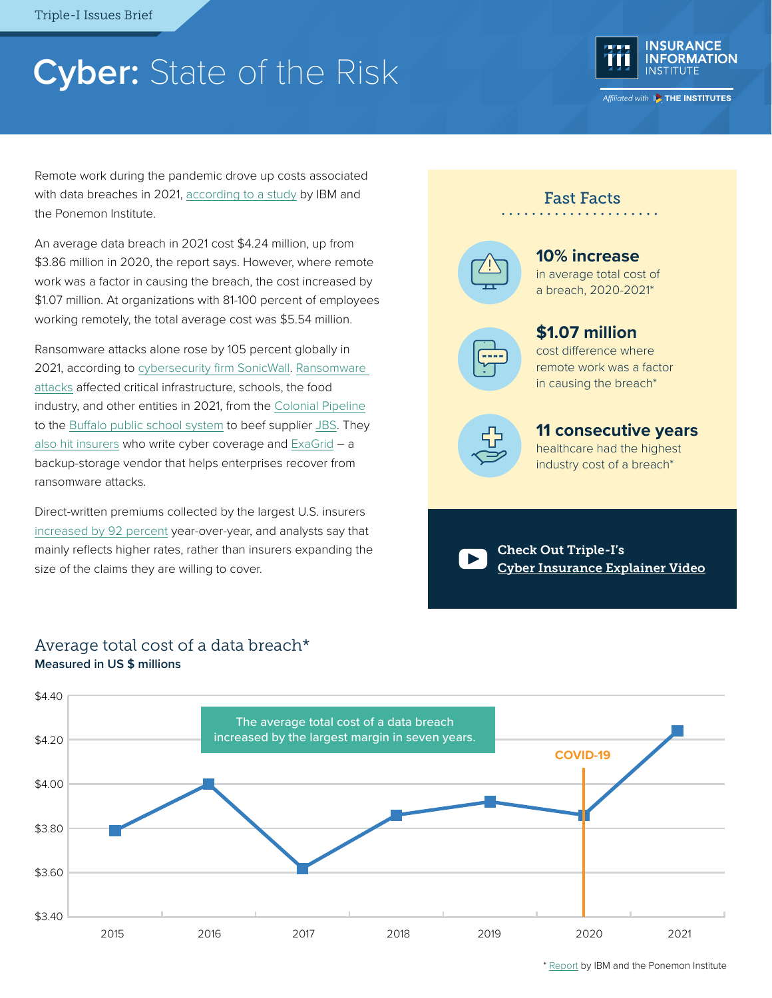# **Cyber:** State of the Risk



Affiliated with **Extra THE INSTITUTES** 

Remote work during the pandemic drove up costs associated with data breaches in 2021, [according to a study](https://www.ibm.com/downloads/cas/OJDVQGRY) by IBM and the Ponemon Institute.

An average data breach in 2021 cost \$4.24 million, up from \$3.86 million in 2020, the report says. However, where remote work was a factor in causing the breach, the cost increased by \$1.07 million. At organizations with 81-100 percent of employees working remotely, the total average cost was \$5.54 million.

Ransomware attacks alone rose by 105 percent globally in 2021, according to [cybersecurity firm SonicWall.](https://www.sonicwall.com/news/sonicwall-threat-intelligence-confirms-alarming-surge-in-ransomware-malicious-cyberattacks-as-threats-double-in-2021/) [Ransomware](https://searchsecurity.techtarget.com/feature/The-biggest-ransomware-attacks-this-year)  [attacks](https://searchsecurity.techtarget.com/feature/The-biggest-ransomware-attacks-this-year) affected critical infrastructure, schools, the food industry, and other entities in 2021, from the [Colonial Pipeline](https://www.bloomberg.com/news/articles/2021-06-04/hackers-breached-colonial-pipeline-using-compromised-password) to the [Buffalo public school system](https://www.investigativepost.org/2021/05/10/buffalo-schools-still-reeling-from-hack/) to beef supplier [JBS](https://www.cnbc.com/2021/06/09/jbs-paid-11-million-in-response-to-ransomware-attack-.html). They [also hit insurers](https://www.jdsupra.com/legalnews/cyber-insurance-carriers-increasingly-3361129/) who write cyber coverage and [ExaGrid](https://www.cybersecurity-insiders.com/backup-appliance-maker-exagrid-pays-2-6m-to-conti-ransomware-hackers/) – a backup-storage vendor that helps enterprises recover from ransomware attacks.

Direct-written premiums collected by the largest U.S. insurers [increased by 92 percent](https://www.wsj.com/articles/cyber-insurers-raise-rates-amid-a-surge-in-costly-hacks-11652866200) year-over-year, and analysts say that mainly reflects higher rates, rather than insurers expanding the size of the claims they are willing to cover.

## **10% increase**

Fast Facts

in average total cost of a breach, 2020-2021\*

#### **\$1.07 million** cost difference where

remote work was a factor in causing the breach\*



**11 consecutive years**

healthcare had the highest industry cost of a breach\*

Check Out Triple-I's [Cyber Insurance Explainer Video](https://www.youtube.com/watch?v=WNsWSSmM9zs)



#### Average total cost of a data breach\* **Measured in US \$ millions**

\* [Report](https://www.ibm.com/security/data-breach) by IBM and the Ponemon Institute